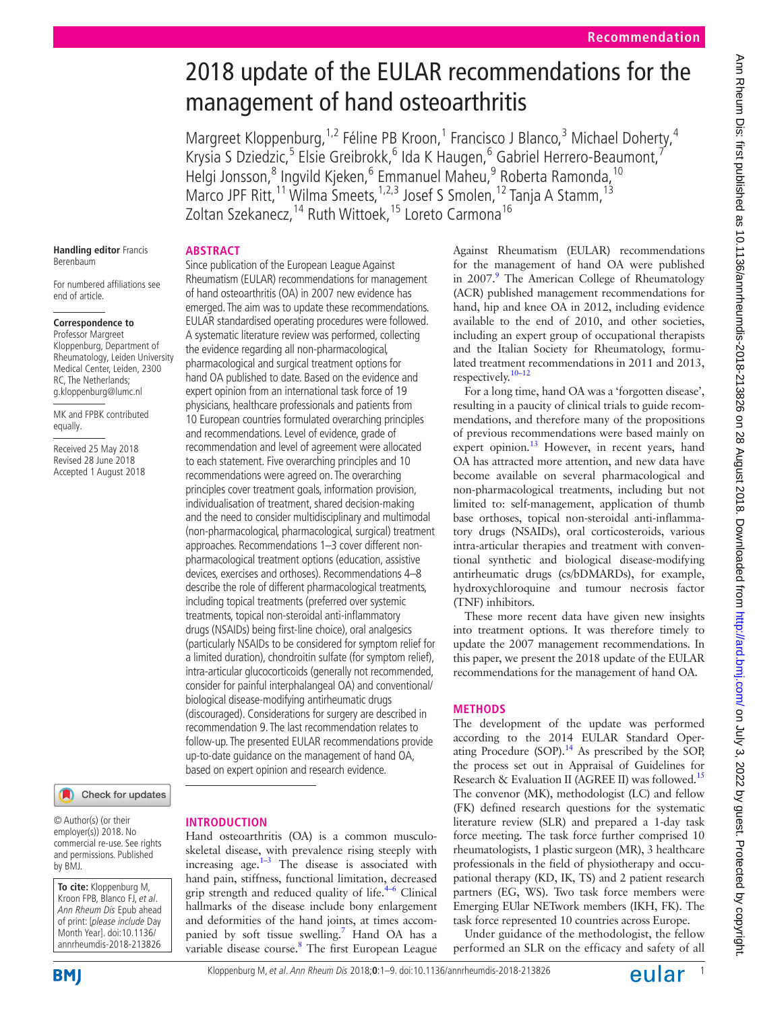# 2018 update of the EULAR recommendations for the management of hand osteoarthritis

Margreet Kloppenburg,<sup>1,2</sup> Féline PB Kroon,<sup>1</sup> Francisco J Blanco,<sup>3</sup> Michael Doherty,<sup>4</sup> Krysia S Dziedzic,<sup>5</sup> Elsie Greibrokk,<sup>6</sup> Ida K Haugen,<sup>6</sup> Gabriel Herrero-Beaumont,<sup>7</sup> Helgi Jonsson,<sup>8</sup> Ingvild Kjeken,<sup>6</sup> Emmanuel Maheu,<sup>9</sup> Roberta Ramonda, <sup>10</sup> Marco JPF Ritt,<sup>11</sup> Wilma Smeets,<sup>1,2,3</sup> Josef S Smolen,<sup>12</sup> Tanja A Stamm,<sup>13</sup> Zoltan Szekanecz, <sup>14</sup> Ruth Wittoek, <sup>15</sup> Loreto Carmona <sup>16</sup>

#### **Handling editor** Francis Berenbaum

For numbered affiliations see end of article.

#### **Correspondence to**

Professor Margreet Kloppenburg, Department of Rheumatology, Leiden University Medical Center, Leiden, 2300 RC, The Netherlands; g.kloppenburg@lumc.nl

MK and FPBK contributed equally.

Received 25 May 2018 Revised 28 June 2018 Accepted 1 August 2018

## Check for updates

**Introduction**

© Author(s) (or their employer(s)) 2018. No commercial re-use. See rights and permissions. Published by BMJ.

**To cite:** Kloppenburg M, Kroon FPB, Blanco FJ, et al. Ann Rheum Dis Epub ahead of print: [please include Day Month Year]. doi:10.1136/ annrheumdis-2018-213826

## **Abstract**

Since publication of the European League Against Rheumatism (EULAR) recommendations for management of hand osteoarthritis (OA) in 2007 new evidence has emerged. The aim was to update these recommendations. EULAR standardised operating procedures were followed. A systematic literature review was performed, collecting the evidence regarding all non-pharmacological, pharmacological and surgical treatment options for hand OA published to date. Based on the evidence and expert opinion from an international task force of 19 physicians, healthcare professionals and patients from 10 European countries formulated overarching principles and recommendations. Level of evidence, grade of recommendation and level of agreement were allocated to each statement. Five overarching principles and 10 recommendations were agreed on. The overarching principles cover treatment goals, information provision, individualisation of treatment, shared decision-making and the need to consider multidisciplinary and multimodal (non-pharmacological, pharmacological, surgical) treatment approaches. Recommendations 1–3 cover different nonpharmacological treatment options (education, assistive devices, exercises and orthoses). Recommendations 4–8 describe the role of different pharmacological treatments, including topical treatments (preferred over systemic treatments, topical non-steroidal anti-inflammatory drugs (NSAIDs) being first-line choice), oral analgesics (particularly NSAIDs to be considered for symptom relief for a limited duration), chondroitin sulfate (for symptom relief), intra-articular glucocorticoids (generally not recommended, consider for painful interphalangeal OA) and conventional/ biological disease-modifying antirheumatic drugs (discouraged). Considerations for surgery are described in recommendation 9. The last recommendation relates to follow-up. The presented EULAR recommendations provide up-to-date guidance on the management of hand OA, based on expert opinion and research evidence.

Hand osteoarthritis (OA) is a common musculoskeletal disease, with prevalence rising steeply with increasing age. $1-3$  The disease is associated with hand pain, stiffness, functional limitation, decreased grip strength and reduced quality of life. $4-6$  Clinical hallmarks of the disease include bony enlargement and deformities of the hand joints, at times accom-panied by soft tissue swelling.<sup>[7](#page-7-1)</sup> Hand OA has a variable disease course.<sup>8</sup> The first European League Against Rheumatism (EULAR) recommendations for the management of hand OA were published in 2007.<sup>[9](#page-7-3)</sup> The American College of Rheumatology (ACR) published management recommendations for hand, hip and knee OA in 2012, including evidence available to the end of 2010, and other societies, including an expert group of occupational therapists and the Italian Society for Rheumatology, formulated treatment recommendations in 2011 and 2013, respectively.[10–12](#page-7-4)

For a long time, hand OA was a 'forgotten disease', resulting in a paucity of clinical trials to guide recommendations, and therefore many of the propositions of previous recommendations were based mainly on expert opinion.<sup>13</sup> However, in recent years, hand OA has attracted more attention, and new data have become available on several pharmacological and non-pharmacological treatments, including but not limited to: self-management, application of thumb base orthoses, topical non-steroidal anti-inflammatory drugs (NSAIDs), oral corticosteroids, various intra-articular therapies and treatment with conventional synthetic and biological disease-modifying antirheumatic drugs (cs/bDMARDs), for example, hydroxychloroquine and tumour necrosis factor (TNF) inhibitors.

These more recent data have given new insights into treatment options. It was therefore timely to update the 2007 management recommendations. In this paper, we present the 2018 update of the EULAR recommendations for the management of hand OA.

## **Methods**

The development of the update was performed according to the 2014 EULAR Standard Operating Procedure (SOP). $^{14}$  As prescribed by the SOP, the process set out in Appraisal of Guidelines for Research & Evaluation II (AGREE II) was followed.<sup>[15](#page-7-7)</sup> The convenor (MK), methodologist (LC) and fellow (FK) defined research questions for the systematic literature review (SLR) and prepared a 1-day task force meeting. The task force further comprised 10 rheumatologists, 1 plastic surgeon (MR), 3 healthcare professionals in the field of physiotherapy and occupational therapy (KD, IK, TS) and 2 patient research partners (EG, WS). Two task force members were Emerging EUlar NETwork members (IKH, FK). The task force represented 10 countries across Europe.

Under guidance of the methodologist, the fellow performed an SLR on the efficacy and safety of all

Kloppenburg M, et al. Ann Rheum Dis 2018;**0**:1–9. doi:10.1136/annrheumdis-2018-2138261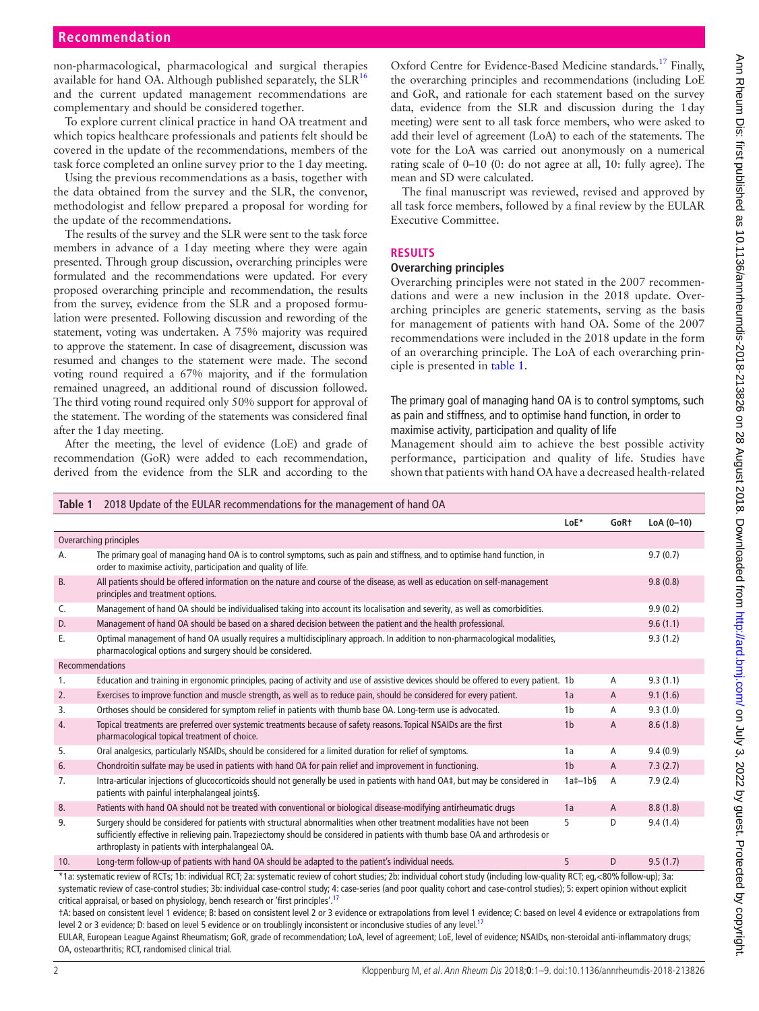non-pharmacological, pharmacological and surgical therapies available for hand OA. Although published separately, the  $SLR^{16}$  $SLR^{16}$  $SLR^{16}$ and the current updated management recommendations are complementary and should be considered together.

To explore current clinical practice in hand OA treatment and which topics healthcare professionals and patients felt should be covered in the update of the recommendations, members of the task force completed an online survey prior to the 1day meeting.

Using the previous recommendations as a basis, together with the data obtained from the survey and the SLR, the convenor, methodologist and fellow prepared a proposal for wording for the update of the recommendations.

The results of the survey and the SLR were sent to the task force members in advance of a 1day meeting where they were again presented. Through group discussion, overarching principles were formulated and the recommendations were updated. For every proposed overarching principle and recommendation, the results from the survey, evidence from the SLR and a proposed formulation were presented. Following discussion and rewording of the statement, voting was undertaken. A 75% majority was required to approve the statement. In case of disagreement, discussion was resumed and changes to the statement were made. The second voting round required a 67% majority, and if the formulation remained unagreed, an additional round of discussion followed. The third voting round required only 50% support for approval of the statement. The wording of the statements was considered final after the 1day meeting.

After the meeting, the level of evidence (LoE) and grade of recommendation (GoR) were added to each recommendation, derived from the evidence from the SLR and according to the

Oxford Centre for Evidence-Based Medicine standards[.17](#page-7-9) Finally, the overarching principles and recommendations (including LoE and GoR, and rationale for each statement based on the survey data, evidence from the SLR and discussion during the 1day meeting) were sent to all task force members, who were asked to add their level of agreement (LoA) to each of the statements. The vote for the LoA was carried out anonymously on a numerical rating scale of 0–10 (0: do not agree at all, 10: fully agree). The mean and SD were calculated.

The final manuscript was reviewed, revised and approved by all task force members, followed by a final review by the EULAR Executive Committee.

#### **Results**

#### **Overarching principles**

Overarching principles were not stated in the 2007 recommendations and were a new inclusion in the 2018 update. Overarching principles are generic statements, serving as the basis for management of patients with hand OA. Some of the 2007 recommendations were included in the 2018 update in the form of an overarching principle. The LoA of each overarching principle is presented in [table](#page-1-0) 1.

The primary goal of managing hand OA is to control symptoms, such as pain and stiffness, and to optimise hand function, in order to maximise activity, participation and quality of life

Management should aim to achieve the best possible activity performance, participation and quality of life. Studies have shown that patients with hand OA have a decreased health-related

#### <span id="page-1-0"></span>**Table 1** 2018 Update of the EULAR recommendations for the management of hand OA

|                        |                                                                                                                                                                                                                                                                                                                                                                                                                 | $LoE^*$        | GoR† | $LoA (0-10)$ |  |  |  |  |
|------------------------|-----------------------------------------------------------------------------------------------------------------------------------------------------------------------------------------------------------------------------------------------------------------------------------------------------------------------------------------------------------------------------------------------------------------|----------------|------|--------------|--|--|--|--|
| Overarching principles |                                                                                                                                                                                                                                                                                                                                                                                                                 |                |      |              |  |  |  |  |
| А.                     | The primary goal of managing hand OA is to control symptoms, such as pain and stiffness, and to optimise hand function, in<br>order to maximise activity, participation and quality of life.                                                                                                                                                                                                                    |                |      | 9.7(0.7)     |  |  |  |  |
| B.                     | All patients should be offered information on the nature and course of the disease, as well as education on self-management<br>principles and treatment options.                                                                                                                                                                                                                                                |                |      | 9.8(0.8)     |  |  |  |  |
| C.                     | Management of hand OA should be individualised taking into account its localisation and severity, as well as comorbidities.                                                                                                                                                                                                                                                                                     |                |      | 9.9(0.2)     |  |  |  |  |
| D.                     | Management of hand OA should be based on a shared decision between the patient and the health professional.                                                                                                                                                                                                                                                                                                     |                |      | 9.6(1.1)     |  |  |  |  |
| Е.                     | Optimal management of hand OA usually requires a multidisciplinary approach. In addition to non-pharmacological modalities,<br>pharmacological options and surgery should be considered.                                                                                                                                                                                                                        |                |      | 9.3(1.2)     |  |  |  |  |
| <b>Recommendations</b> |                                                                                                                                                                                                                                                                                                                                                                                                                 |                |      |              |  |  |  |  |
| 1.                     | Education and training in ergonomic principles, pacing of activity and use of assistive devices should be offered to every patient. 1b                                                                                                                                                                                                                                                                          |                | A    | 9.3(1.1)     |  |  |  |  |
| 2.                     | Exercises to improve function and muscle strength, as well as to reduce pain, should be considered for every patient.                                                                                                                                                                                                                                                                                           | 1a             | Α    | 9.1(1.6)     |  |  |  |  |
| 3.                     | Orthoses should be considered for symptom relief in patients with thumb base OA. Long-term use is advocated.                                                                                                                                                                                                                                                                                                    | 1b             | A    | 9.3(1.0)     |  |  |  |  |
| 4.                     | Topical treatments are preferred over systemic treatments because of safety reasons. Topical NSAIDs are the first<br>pharmacological topical treatment of choice.                                                                                                                                                                                                                                               | 1 <sub>b</sub> | A    | 8.6(1.8)     |  |  |  |  |
| 5.                     | Oral analgesics, particularly NSAIDs, should be considered for a limited duration for relief of symptoms.                                                                                                                                                                                                                                                                                                       | 1a             | Α    | 9.4(0.9)     |  |  |  |  |
| 6.                     | Chondroitin sulfate may be used in patients with hand OA for pain relief and improvement in functioning.                                                                                                                                                                                                                                                                                                        | 1 <sub>b</sub> | A    | 7.3(2.7)     |  |  |  |  |
| 7.                     | Intra-articular injections of glucocorticoids should not generally be used in patients with hand OA‡, but may be considered in<br>patients with painful interphalangeal joints§.                                                                                                                                                                                                                                | $1a+1b$ §      | A    | 7.9(2.4)     |  |  |  |  |
| 8.                     | Patients with hand OA should not be treated with conventional or biological disease-modifying antirheumatic drugs                                                                                                                                                                                                                                                                                               | 1a             | Α    | 8.8(1.8)     |  |  |  |  |
| 9.                     | Surgery should be considered for patients with structural abnormalities when other treatment modalities have not been<br>sufficiently effective in relieving pain. Trapeziectomy should be considered in patients with thumb base OA and arthrodesis or<br>arthroplasty in patients with interphalangeal OA.                                                                                                    | 5              | D    | 9.4(1.4)     |  |  |  |  |
| 10.                    | Long-term follow-up of patients with hand OA should be adapted to the patient's individual needs.                                                                                                                                                                                                                                                                                                               | 5              | D    | 9.5(1.7)     |  |  |  |  |
|                        | *1a: systematic review of RCTs; 1b: individual RCT; 2a: systematic review of cohort studies; 2b: individual cohort study (including low-quality RCT; eq, <80% follow-up); 3a:<br>the contract of the contract of the contract of the contract of the contract of the contract of the contract of the contract of the contract of the contract of the contract of the contract of the contract of the contract o |                |      |              |  |  |  |  |

systematic review of case-control studies; 3b: individual case-control study; 4: case-series (and poor quality cohort and case-control studies); 5: expert opinion without explicit critical appraisal, or based on physiology, bench research or 'first principles'.<sup>17</sup>

†A: based on consistent level 1 evidence; B: based on consistent level 2 or 3 evidence or extrapolations from level 1 evidence; C: based on level 4 evidence or extrapolations from level 2 or 3 evidence; D: based on level 5 evidence or on troublingly inconsistent or inconclusive studies of any level.<sup>[17](#page-7-9)</sup>

EULAR, European League Against Rheumatism; GoR, grade of recommendation; LoA, level of agreement; LoE, level of evidence; NSAIDs, non-steroidal anti-inflammatory drugs; OA, osteoarthritis; RCT, randomised clinical trial.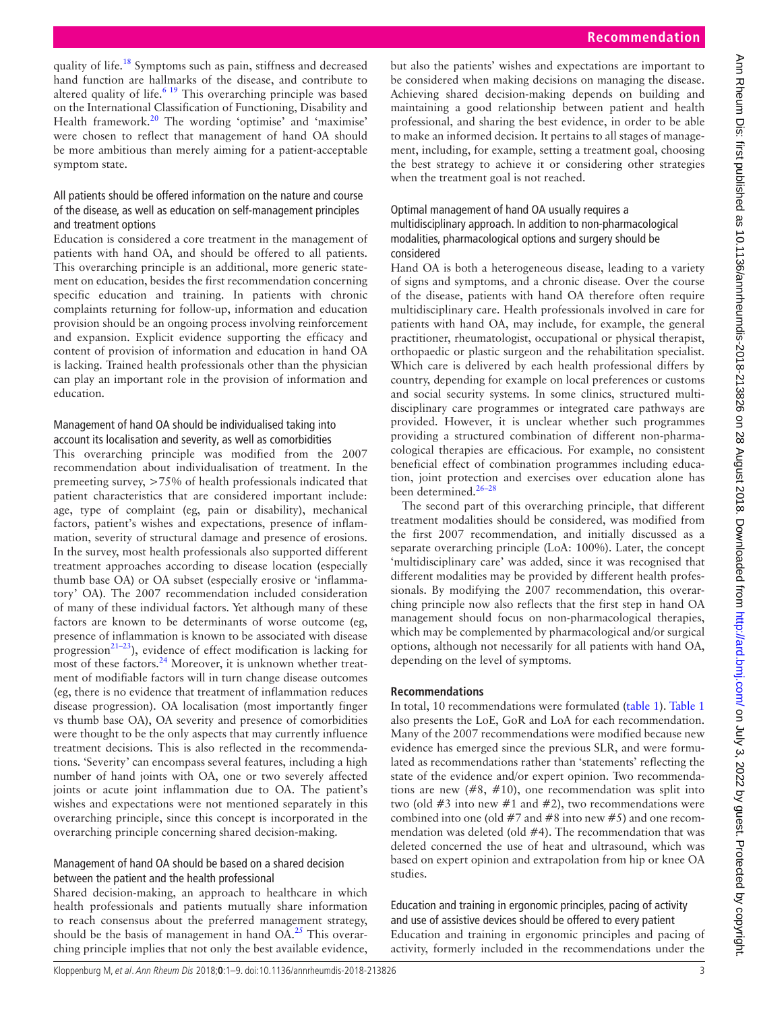quality of life.<sup>[18](#page-7-10)</sup> Symptoms such as pain, stiffness and decreased hand function are hallmarks of the disease, and contribute to altered quality of life.<sup>6 19</sup> This overarching principle was based on the International Classification of Functioning, Disability and Health framework.[20](#page-7-12) The wording 'optimise' and 'maximise' were chosen to reflect that management of hand OA should be more ambitious than merely aiming for a patient-acceptable symptom state.

## All patients should be offered information on the nature and course of the disease, as well as education on self-management principles and treatment options

Education is considered a core treatment in the management of patients with hand OA, and should be offered to all patients. This overarching principle is an additional, more generic statement on education, besides the first recommendation concerning specific education and training. In patients with chronic complaints returning for follow-up, information and education provision should be an ongoing process involving reinforcement and expansion. Explicit evidence supporting the efficacy and content of provision of information and education in hand OA is lacking. Trained health professionals other than the physician can play an important role in the provision of information and education.

#### Management of hand OA should be individualised taking into account its localisation and severity, as well as comorbidities

This overarching principle was modified from the 2007 recommendation about individualisation of treatment. In the premeeting survey, >75% of health professionals indicated that patient characteristics that are considered important include: age, type of complaint (eg, pain or disability), mechanical factors, patient's wishes and expectations, presence of inflammation, severity of structural damage and presence of erosions. In the survey, most health professionals also supported different treatment approaches according to disease location (especially thumb base OA) or OA subset (especially erosive or 'inflammatory' OA). The 2007 recommendation included consideration of many of these individual factors. Yet although many of these factors are known to be determinants of worse outcome (eg, presence of inflammation is known to be associated with disease progression<sup>[21–23](#page-7-13)</sup>), evidence of effect modification is lacking for most of these factors.<sup>24</sup> Moreover, it is unknown whether treatment of modifiable factors will in turn change disease outcomes (eg, there is no evidence that treatment of inflammation reduces disease progression). OA localisation (most importantly finger vs thumb base OA), OA severity and presence of comorbidities were thought to be the only aspects that may currently influence treatment decisions. This is also reflected in the recommendations. 'Severity' can encompass several features, including a high number of hand joints with OA, one or two severely affected joints or acute joint inflammation due to OA. The patient's wishes and expectations were not mentioned separately in this overarching principle, since this concept is incorporated in the overarching principle concerning shared decision-making.

## Management of hand OA should be based on a shared decision between the patient and the health professional

Shared decision-making, an approach to healthcare in which health professionals and patients mutually share information to reach consensus about the preferred management strategy, should be the basis of management in hand  $OA<sup>25</sup>$  This overarching principle implies that not only the best available evidence,

but also the patients' wishes and expectations are important to be considered when making decisions on managing the disease. Achieving shared decision-making depends on building and maintaining a good relationship between patient and health professional, and sharing the best evidence, in order to be able to make an informed decision. It pertains to all stages of management, including, for example, setting a treatment goal, choosing the best strategy to achieve it or considering other strategies when the treatment goal is not reached.

## Optimal management of hand OA usually requires a multidisciplinary approach. In addition to non-pharmacological modalities, pharmacological options and surgery should be considered

Hand OA is both a heterogeneous disease, leading to a variety of signs and symptoms, and a chronic disease. Over the course of the disease, patients with hand OA therefore often require multidisciplinary care. Health professionals involved in care for patients with hand OA, may include, for example, the general practitioner, rheumatologist, occupational or physical therapist, orthopaedic or plastic surgeon and the rehabilitation specialist. Which care is delivered by each health professional differs by country, depending for example on local preferences or customs and social security systems. In some clinics, structured multidisciplinary care programmes or integrated care pathways are provided. However, it is unclear whether such programmes providing a structured combination of different non-pharmacological therapies are efficacious. For example, no consistent beneficial effect of combination programmes including education, joint protection and exercises over education alone has been determined.[26–28](#page-7-16)

The second part of this overarching principle, that different treatment modalities should be considered, was modified from the first 2007 recommendation, and initially discussed as a separate overarching principle (LoA: 100%). Later, the concept 'multidisciplinary care' was added, since it was recognised that different modalities may be provided by different health professionals. By modifying the 2007 recommendation, this overarching principle now also reflects that the first step in hand OA management should focus on non-pharmacological therapies, which may be complemented by pharmacological and/or surgical options, although not necessarily for all patients with hand OA, depending on the level of symptoms.

## **Recommendations**

In total, 10 recommendations were formulated ([table](#page-1-0) 1). [Table](#page-1-0) 1 also presents the LoE, GoR and LoA for each recommendation. Many of the 2007 recommendations were modified because new evidence has emerged since the previous SLR, and were formulated as recommendations rather than 'statements' reflecting the state of the evidence and/or expert opinion. Two recommendations are new (#8, #10), one recommendation was split into two (old  $#3$  into new  $#1$  and  $#2$ ), two recommendations were combined into one (old #7 and #8 into new #5) and one recommendation was deleted (old #4). The recommendation that was deleted concerned the use of heat and ultrasound, which was based on expert opinion and extrapolation from hip or knee OA studies.

Education and training in ergonomic principles, pacing of activity and use of assistive devices should be offered to every patient Education and training in ergonomic principles and pacing of activity, formerly included in the recommendations under the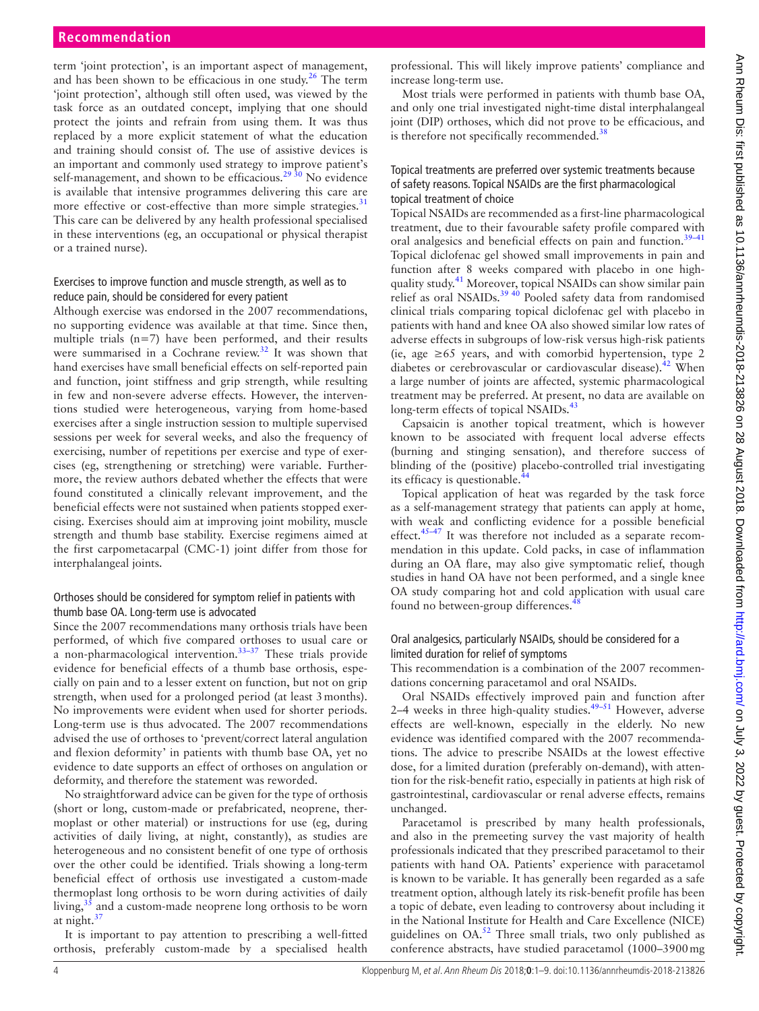term 'joint protection', is an important aspect of management, and has been shown to be efficacious in one study.<sup>26</sup> The term 'joint protection', although still often used, was viewed by the task force as an outdated concept, implying that one should protect the joints and refrain from using them. It was thus replaced by a more explicit statement of what the education and training should consist of. The use of assistive devices is an important and commonly used strategy to improve patient's self-management, and shown to be efficacious.<sup>29 30</sup> No evidence is available that intensive programmes delivering this care are more effective or cost-effective than more simple strategies. $31$ This care can be delivered by any health professional specialised in these interventions (eg, an occupational or physical therapist or a trained nurse).

#### Exercises to improve function and muscle strength, as well as to reduce pain, should be considered for every patient

Although exercise was endorsed in the 2007 recommendations, no supporting evidence was available at that time. Since then, multiple trials (n=7) have been performed, and their results were summarised in a Cochrane review.<sup>32</sup> It was shown that hand exercises have small beneficial effects on self-reported pain and function, joint stiffness and grip strength, while resulting in few and non-severe adverse effects. However, the interventions studied were heterogeneous, varying from home-based exercises after a single instruction session to multiple supervised sessions per week for several weeks, and also the frequency of exercising, number of repetitions per exercise and type of exercises (eg, strengthening or stretching) were variable. Furthermore, the review authors debated whether the effects that were found constituted a clinically relevant improvement, and the beneficial effects were not sustained when patients stopped exercising. Exercises should aim at improving joint mobility, muscle strength and thumb base stability. Exercise regimens aimed at the first carpometacarpal (CMC-1) joint differ from those for interphalangeal joints.

#### Orthoses should be considered for symptom relief in patients with thumb base OA. Long-term use is advocated

Since the 2007 recommendations many orthosis trials have been performed, of which five compared orthoses to usual care or a non-pharmacological intervention. $33-37$  These trials provide evidence for beneficial effects of a thumb base orthosis, especially on pain and to a lesser extent on function, but not on grip strength, when used for a prolonged period (at least 3months). No improvements were evident when used for shorter periods. Long-term use is thus advocated. The 2007 recommendations advised the use of orthoses to 'prevent/correct lateral angulation and flexion deformity' in patients with thumb base OA, yet no evidence to date supports an effect of orthoses on angulation or deformity, and therefore the statement was reworded.

No straightforward advice can be given for the type of orthosis (short or long, custom-made or prefabricated, neoprene, thermoplast or other material) or instructions for use (eg, during activities of daily living, at night, constantly), as studies are heterogeneous and no consistent benefit of one type of orthosis over the other could be identified. Trials showing a long-term beneficial effect of orthosis use investigated a custom-made thermoplast long orthosis to be worn during activities of daily living, $35$  and a custom-made neoprene long orthosis to be worn at night. $37$ 

It is important to pay attention to prescribing a well-fitted orthosis, preferably custom-made by a specialised health

professional. This will likely improve patients' compliance and increase long-term use.

Most trials were performed in patients with thumb base OA, and only one trial investigated night-time distal interphalangeal joint (DIP) orthoses, which did not prove to be efficacious, and is therefore not specifically recommended.<sup>38</sup>

#### Topical treatments are preferred over systemic treatments because of safety reasons. Topical NSAIDs are the first pharmacological topical treatment of choice

Topical NSAIDs are recommended as a first-line pharmacological treatment, due to their favourable safety profile compared with oral analgesics and beneficial effects on pain and function.<sup>39-41</sup> Topical diclofenac gel showed small improvements in pain and function after 8 weeks compared with placebo in one high-quality study.<sup>[41](#page-7-25)</sup> Moreover, topical NSAIDs can show similar pain relief as oral NSAIDs.<sup>[39 40](#page-7-24)</sup> Pooled safety data from randomised clinical trials comparing topical diclofenac gel with placebo in patients with hand and knee OA also showed similar low rates of adverse effects in subgroups of low-risk versus high-risk patients (ie, age  $\geq 65$  years, and with comorbid hypertension, type 2 diabetes or cerebrovascular or cardiovascular disease). $^{42}$  When a large number of joints are affected, systemic pharmacological treatment may be preferred. At present, no data are available on long-term effects of topical NSAIDs.<sup>43</sup>

Capsaicin is another topical treatment, which is however known to be associated with frequent local adverse effects (burning and stinging sensation), and therefore success of blinding of the (positive) placebo-controlled trial investigating its efficacy is questionable.<sup>44</sup>

Topical application of heat was regarded by the task force as a self-management strategy that patients can apply at home, with weak and conflicting evidence for a possible beneficial effect. $45-47$  It was therefore not included as a separate recommendation in this update. Cold packs, in case of inflammation during an OA flare, may also give symptomatic relief, though studies in hand OA have not been performed, and a single knee OA study comparing hot and cold application with usual care found no between-group differences.<sup>4</sup>

#### Oral analgesics, particularly NSAIDs, should be considered for a limited duration for relief of symptoms

This recommendation is a combination of the 2007 recommendations concerning paracetamol and oral NSAIDs.

Oral NSAIDs effectively improved pain and function after 2–4 weeks in three high-quality studies. $49-51$  However, adverse effects are well-known, especially in the elderly. No new evidence was identified compared with the 2007 recommendations. The advice to prescribe NSAIDs at the lowest effective dose, for a limited duration (preferably on-demand), with attention for the risk-benefit ratio, especially in patients at high risk of gastrointestinal, cardiovascular or renal adverse effects, remains unchanged.

Paracetamol is prescribed by many health professionals, and also in the premeeting survey the vast majority of health professionals indicated that they prescribed paracetamol to their patients with hand OA. Patients' experience with paracetamol is known to be variable. It has generally been regarded as a safe treatment option, although lately its risk-benefit profile has been a topic of debate, even leading to controversy about including it in the National Institute for Health and Care Excellence (NICE) guidelines on  $OA<sup>52</sup>$  $OA<sup>52</sup>$  $OA<sup>52</sup>$  Three small trials, two only published as conference abstracts, have studied paracetamol (1000–3900mg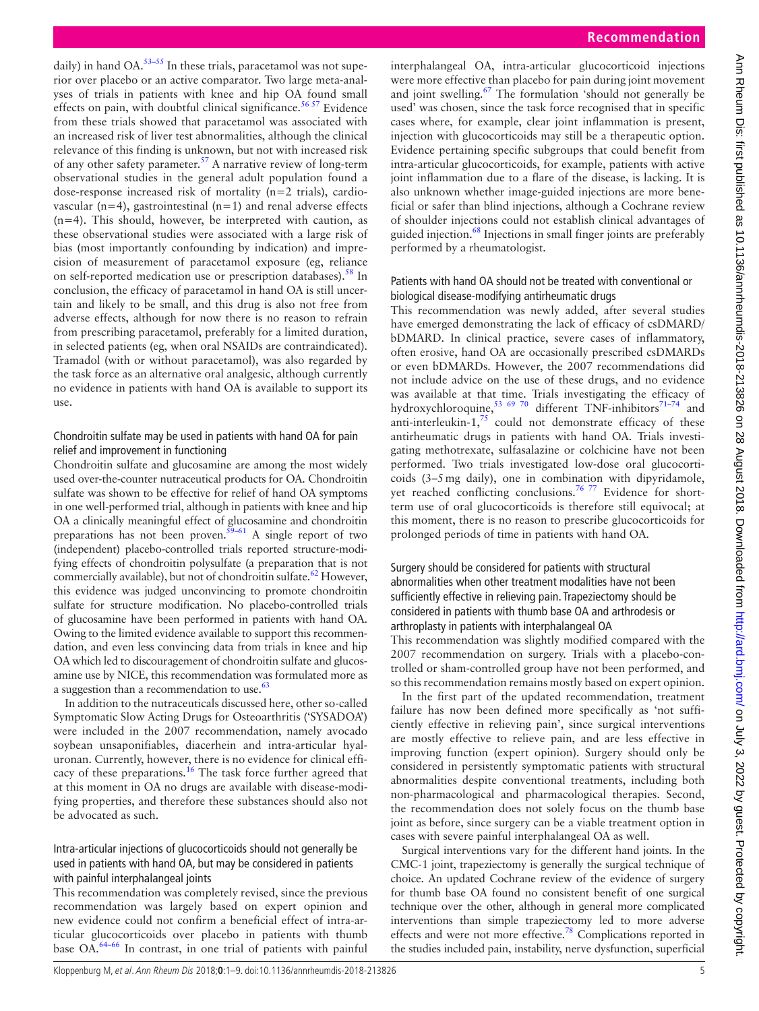daily) in hand  $OA<sup>53-55</sup>$  In these trials, paracetamol was not superior over placebo or an active comparator. Two large meta-analyses of trials in patients with knee and hip OA found small effects on pain, with doubtful clinical significance.<sup>[56 57](#page-7-34)</sup> Evidence from these trials showed that paracetamol was associated with an increased risk of liver test abnormalities, although the clinical relevance of this finding is unknown, but not with increased risk of any other safety parameter.<sup>57</sup> A narrative review of long-term observational studies in the general adult population found a dose-response increased risk of mortality (n=2 trials), cardiovascular ( $n=4$ ), gastrointestinal ( $n=1$ ) and renal adverse effects (n=4). This should, however, be interpreted with caution, as these observational studies were associated with a large risk of bias (most importantly confounding by indication) and imprecision of measurement of paracetamol exposure (eg, reliance on self-reported medication use or prescription databases).<sup>58</sup> In conclusion, the efficacy of paracetamol in hand OA is still uncertain and likely to be small, and this drug is also not free from adverse effects, although for now there is no reason to refrain from prescribing paracetamol, preferably for a limited duration, in selected patients (eg, when oral NSAIDs are contraindicated). Tramadol (with or without paracetamol), was also regarded by the task force as an alternative oral analgesic, although currently no evidence in patients with hand OA is available to support its use.

## Chondroitin sulfate may be used in patients with hand OA for pain relief and improvement in functioning

Chondroitin sulfate and glucosamine are among the most widely used over-the-counter nutraceutical products for OA. Chondroitin sulfate was shown to be effective for relief of hand OA symptoms in one well-performed trial, although in patients with knee and hip OA a clinically meaningful effect of glucosamine and chondroitin preparations has not been proven.<sup>59-61</sup> A single report of two (independent) placebo-controlled trials reported structure-modifying effects of chondroitin polysulfate (a preparation that is not commercially available), but not of chondroitin sulfate.<sup>[62](#page-8-2)</sup> However, this evidence was judged unconvincing to promote chondroitin sulfate for structure modification. No placebo-controlled trials of glucosamine have been performed in patients with hand OA. Owing to the limited evidence available to support this recommendation, and even less convincing data from trials in knee and hip OA which led to discouragement of chondroitin sulfate and glucosamine use by NICE, this recommendation was formulated more as a suggestion than a recommendation to use. $63$ 

In addition to the nutraceuticals discussed here, other so-called Symptomatic Slow Acting Drugs for Osteoarthritis ('SYSADOA') were included in the 2007 recommendation, namely avocado soybean unsaponifiables, diacerhein and intra-articular hyaluronan. Currently, however, there is no evidence for clinical efficacy of these preparations.<sup>16</sup> The task force further agreed that at this moment in OA no drugs are available with disease-modifying properties, and therefore these substances should also not be advocated as such.

## Intra-articular injections of glucocorticoids should not generally be used in patients with hand OA, but may be considered in patients with painful interphalangeal joints

This recommendation was completely revised, since the previous recommendation was largely based on expert opinion and new evidence could not confirm a beneficial effect of intra-articular glucocorticoids over placebo in patients with thumb base OA.[64–66](#page-8-4) In contrast, in one trial of patients with painful

interphalangeal OA, intra-articular glucocorticoid injections were more effective than placebo for pain during joint movement and joint swelling.<sup>67</sup> The formulation 'should not generally be used' was chosen, since the task force recognised that in specific cases where, for example, clear joint inflammation is present, injection with glucocorticoids may still be a therapeutic option. Evidence pertaining specific subgroups that could benefit from intra-articular glucocorticoids, for example, patients with active joint inflammation due to a flare of the disease, is lacking. It is also unknown whether image-guided injections are more beneficial or safer than blind injections, although a Cochrane review of shoulder injections could not establish clinical advantages of guided injection.<sup>68</sup> Injections in small finger joints are preferably performed by a rheumatologist.

## Patients with hand OA should not be treated with conventional or biological disease-modifying antirheumatic drugs

This recommendation was newly added, after several studies have emerged demonstrating the lack of efficacy of csDMARD/ bDMARD. In clinical practice, severe cases of inflammatory, often erosive, hand OA are occasionally prescribed csDMARDs or even bDMARDs. However, the 2007 recommendations did not include advice on the use of these drugs, and no evidence was available at that time. Trials investigating the efficacy of hydroxychloroquine, $53/69/70$  different TNF-inhibitors<sup>71–74</sup> and anti-interleukin- $1,^{75}$  could not demonstrate efficacy of these antirheumatic drugs in patients with hand OA. Trials investigating methotrexate, sulfasalazine or colchicine have not been performed. Two trials investigated low-dose oral glucocorticoids (3–5mg daily), one in combination with dipyridamole, yet reached conflicting conclusions.<sup>76 77</sup> Evidence for shortterm use of oral glucocorticoids is therefore still equivocal; at this moment, there is no reason to prescribe glucocorticoids for prolonged periods of time in patients with hand OA.

## Surgery should be considered for patients with structural abnormalities when other treatment modalities have not been sufficiently effective in relieving pain. Trapeziectomy should be considered in patients with thumb base OA and arthrodesis or arthroplasty in patients with interphalangeal OA

This recommendation was slightly modified compared with the 2007 recommendation on surgery. Trials with a placebo-controlled or sham-controlled group have not been performed, and so this recommendation remains mostly based on expert opinion.

In the first part of the updated recommendation, treatment failure has now been defined more specifically as 'not sufficiently effective in relieving pain', since surgical interventions are mostly effective to relieve pain, and are less effective in improving function (expert opinion). Surgery should only be considered in persistently symptomatic patients with structural abnormalities despite conventional treatments, including both non-pharmacological and pharmacological therapies. Second, the recommendation does not solely focus on the thumb base joint as before, since surgery can be a viable treatment option in cases with severe painful interphalangeal OA as well.

Surgical interventions vary for the different hand joints. In the CMC-1 joint, trapeziectomy is generally the surgical technique of choice. An updated Cochrane review of the evidence of surgery for thumb base OA found no consistent benefit of one surgical technique over the other, although in general more complicated interventions than simple trapeziectomy led to more adverse effects and were not more effective.<sup>[78](#page-8-10)</sup> Complications reported in the studies included pain, instability, nerve dysfunction, superficial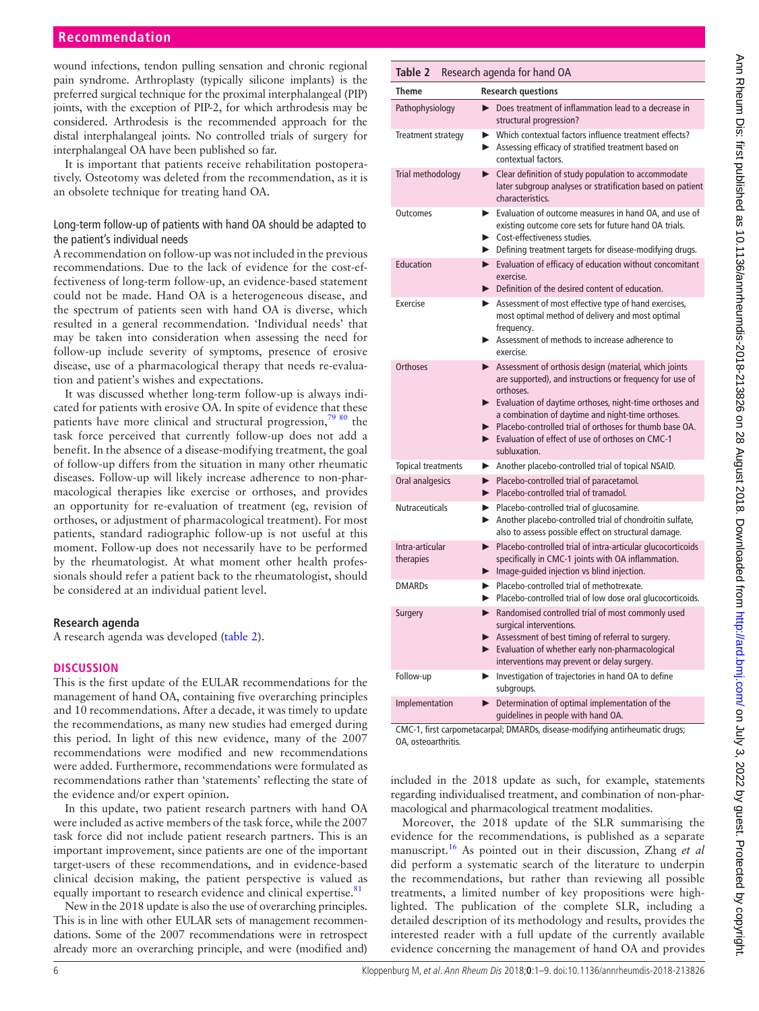## **Recommendation**

wound infections, tendon pulling sensation and chronic regional pain syndrome. Arthroplasty (typically silicone implants) is the preferred surgical technique for the proximal interphalangeal (PIP) joints, with the exception of PIP-2, for which arthrodesis may be considered. Arthrodesis is the recommended approach for the distal interphalangeal joints. No controlled trials of surgery for interphalangeal OA have been published so far.

It is important that patients receive rehabilitation postoperatively. Osteotomy was deleted from the recommendation, as it is an obsolete technique for treating hand OA.

#### Long-term follow-up of patients with hand OA should be adapted to the patient's individual needs

A recommendation on follow-up was not included in the previous recommendations. Due to the lack of evidence for the cost-effectiveness of long-term follow-up, an evidence-based statement could not be made. Hand OA is a heterogeneous disease, and the spectrum of patients seen with hand OA is diverse, which resulted in a general recommendation. 'Individual needs' that may be taken into consideration when assessing the need for follow-up include severity of symptoms, presence of erosive disease, use of a pharmacological therapy that needs re-evaluation and patient's wishes and expectations.

It was discussed whether long-term follow-up is always indicated for patients with erosive OA. In spite of evidence that these patients have more clinical and structural progression,<sup>79 80</sup> the task force perceived that currently follow-up does not add a benefit. In the absence of a disease-modifying treatment, the goal of follow-up differs from the situation in many other rheumatic diseases. Follow-up will likely increase adherence to non-pharmacological therapies like exercise or orthoses, and provides an opportunity for re-evaluation of treatment (eg, revision of orthoses, or adjustment of pharmacological treatment). For most patients, standard radiographic follow-up is not useful at this moment. Follow-up does not necessarily have to be performed by the rheumatologist. At what moment other health professionals should refer a patient back to the rheumatologist, should be considered at an individual patient level.

#### **Research agenda**

A research agenda was developed [\(table](#page-5-0) 2).

#### **Discussion**

This is the first update of the EULAR recommendations for the management of hand OA, containing five overarching principles and 10 recommendations. After a decade, it was timely to update the recommendations, as many new studies had emerged during this period. In light of this new evidence, many of the 2007 recommendations were modified and new recommendations were added. Furthermore, recommendations were formulated as recommendations rather than 'statements' reflecting the state of the evidence and/or expert opinion.

In this update, two patient research partners with hand OA were included as active members of the task force, while the 2007 task force did not include patient research partners. This is an important improvement, since patients are one of the important target-users of these recommendations, and in evidence-based clinical decision making, the patient perspective is valued as equally important to research evidence and clinical expertise.<sup>[81](#page-8-12)</sup>

New in the 2018 update is also the use of overarching principles. This is in line with other EULAR sets of management recommendations. Some of the 2007 recommendations were in retrospect already more an overarching principle, and were (modified and)

| iqnie z                      |        | Research agenda for hand OA                                                                                                                                                                                                                                                                                                                                                     |
|------------------------------|--------|---------------------------------------------------------------------------------------------------------------------------------------------------------------------------------------------------------------------------------------------------------------------------------------------------------------------------------------------------------------------------------|
| Theme                        |        | <b>Research questions</b>                                                                                                                                                                                                                                                                                                                                                       |
| Pathophysiology              |        | Does treatment of inflammation lead to a decrease in<br>structural progression?                                                                                                                                                                                                                                                                                                 |
| <b>Treatment strategy</b>    | ▶      | Which contextual factors influence treatment effects?<br>► Assessing efficacy of stratified treatment based on<br>contextual factors.                                                                                                                                                                                                                                           |
| Trial methodology            | ▶      | Clear definition of study population to accommodate<br>later subgroup analyses or stratification based on patient<br>characteristics.                                                                                                                                                                                                                                           |
| <b>Outcomes</b>              | ▶<br>▶ | Evaluation of outcome measures in hand OA, and use of<br>existing outcome core sets for future hand OA trials.<br>Cost-effectiveness studies.<br>▶ Defining treatment targets for disease-modifying drugs.                                                                                                                                                                      |
| Education                    |        | Evaluation of efficacy of education without concomitant<br>exercise.<br>▶ Definition of the desired content of education.                                                                                                                                                                                                                                                       |
| Exercise                     |        | > Assessment of most effective type of hand exercises,<br>most optimal method of delivery and most optimal<br>frequency.<br>Assessment of methods to increase adherence to<br>exercise.                                                                                                                                                                                         |
| Orthoses                     | ▶      | > Assessment of orthosis design (material, which joints<br>are supported), and instructions or frequency for use of<br>orthoses.<br>Evaluation of daytime orthoses, night-time orthoses and<br>a combination of daytime and night-time orthoses.<br>Placebo-controlled trial of orthoses for thumb base OA.<br>Evaluation of effect of use of orthoses on CMC-1<br>subluxation. |
| <b>Topical treatments</b>    | ▶      | Another placebo-controlled trial of topical NSAID.                                                                                                                                                                                                                                                                                                                              |
| Oral analgesics              |        | Placebo-controlled trial of paracetamol.<br>$\blacktriangleright$ Placebo-controlled trial of tramadol.                                                                                                                                                                                                                                                                         |
| <b>Nutraceuticals</b>        | ▶<br>▶ | Placebo-controlled trial of glucosamine.<br>Another placebo-controlled trial of chondroitin sulfate,<br>also to assess possible effect on structural damage.                                                                                                                                                                                                                    |
| Intra-articular<br>therapies | ь<br>▶ | Placebo-controlled trial of intra-articular glucocorticoids<br>specifically in CMC-1 joints with OA inflammation.<br>Image-quided injection vs blind injection.                                                                                                                                                                                                                 |
| <b>DMARDs</b>                |        | Placebo-controlled trial of methotrexate.<br>Placebo-controlled trial of low dose oral glucocorticoids.                                                                                                                                                                                                                                                                         |
| Surgery                      | ▶      | Randomised controlled trial of most commonly used<br>surgical interventions.<br>Assessment of best timing of referral to surgery.<br>Evaluation of whether early non-pharmacological<br>interventions may prevent or delay surgery.                                                                                                                                             |
| Follow-up                    |        | Investigation of trajectories in hand OA to define<br>subgroups.                                                                                                                                                                                                                                                                                                                |
| Implementation               | ▶      | Determination of optimal implementation of the<br>guidelines in people with hand OA.                                                                                                                                                                                                                                                                                            |
| $CMC-1$                      |        | al, DAAADDa, aliaanna maralifisimm nuutides                                                                                                                                                                                                                                                                                                                                     |

<span id="page-5-0"></span>**Table 2** Research agenda for hand OA

1, first carpometacarpal; DMARDs, disease-modifying antırheumatic drugs; OA, osteoarthritis.

included in the 2018 update as such, for example, statements regarding individualised treatment, and combination of non-pharmacological and pharmacological treatment modalities.

Moreover, the 2018 update of the SLR summarising the evidence for the recommendations, is published as a separate manuscript[.16](#page-7-8) As pointed out in their discussion, Zhang *et al* did perform a systematic search of the literature to underpin the recommendations, but rather than reviewing all possible treatments, a limited number of key propositions were highlighted. The publication of the complete SLR, including a detailed description of its methodology and results, provides the interested reader with a full update of the currently available evidence concerning the management of hand OA and provides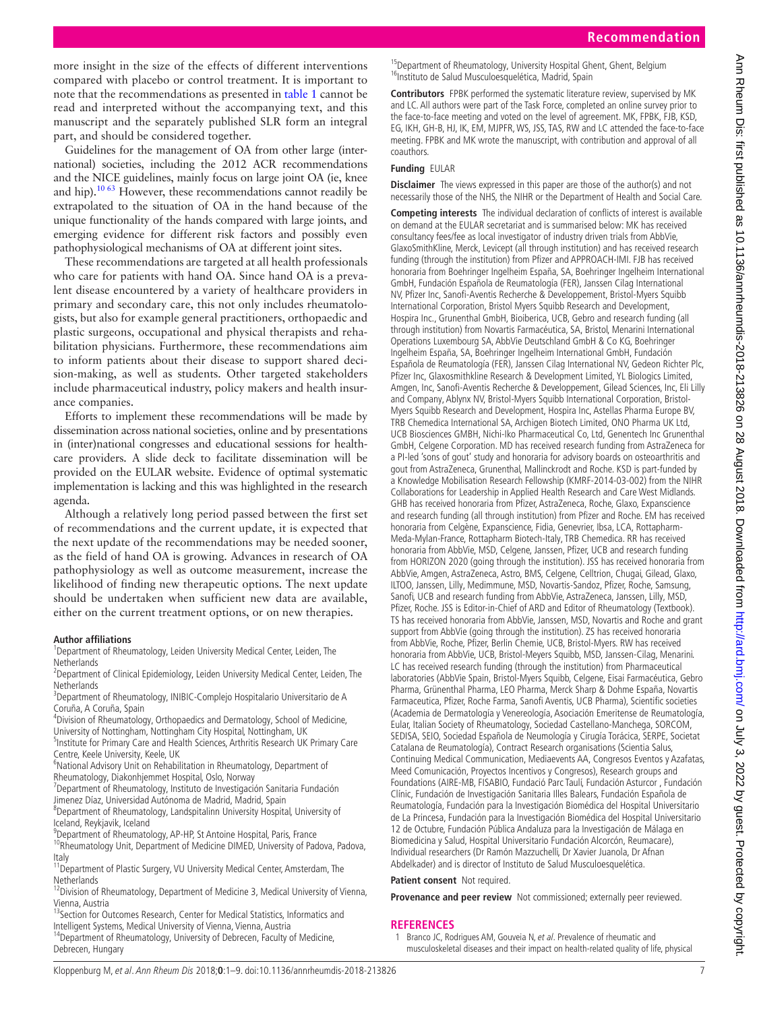more insight in the size of the effects of different interventions compared with placebo or control treatment. It is important to note that the recommendations as presented in [table](#page-1-0) 1 cannot be read and interpreted without the accompanying text, and this manuscript and the separately published SLR form an integral part, and should be considered together.

Guidelines for the management of OA from other large (international) societies, including the 2012 ACR recommendations and the NICE guidelines, mainly focus on large joint OA (ie, knee and hip).[10 63](#page-7-4) However, these recommendations cannot readily be extrapolated to the situation of OA in the hand because of the unique functionality of the hands compared with large joints, and emerging evidence for different risk factors and possibly even pathophysiological mechanisms of OA at different joint sites.

These recommendations are targeted at all health professionals who care for patients with hand OA. Since hand OA is a prevalent disease encountered by a variety of healthcare providers in primary and secondary care, this not only includes rheumatologists, but also for example general practitioners, orthopaedic and plastic surgeons, occupational and physical therapists and rehabilitation physicians. Furthermore, these recommendations aim to inform patients about their disease to support shared decision-making, as well as students. Other targeted stakeholders include pharmaceutical industry, policy makers and health insurance companies.

Efforts to implement these recommendations will be made by dissemination across national societies, online and by presentations in (inter)national congresses and educational sessions for healthcare providers. A slide deck to facilitate dissemination will be provided on the EULAR website. Evidence of optimal systematic implementation is lacking and this was highlighted in the research agenda.

Although a relatively long period passed between the first set of recommendations and the current update, it is expected that the next update of the recommendations may be needed sooner, as the field of hand OA is growing. Advances in research of OA pathophysiology as well as outcome measurement, increase the likelihood of finding new therapeutic options. The next update should be undertaken when sufficient new data are available, either on the current treatment options, or on new therapies.

## **Author affiliations**

<sup>1</sup>Department of Rheumatology, Leiden University Medical Center, Leiden, The Netherlands

<sup>2</sup>Department of Clinical Epidemiology, Leiden University Medical Center, Leiden, The Netherlands

- <sup>3</sup>Department of Rheumatology, INIBIC-Complejo Hospitalario Universitario de A Coruña, A Coruña, Spain
- 4 Division of Rheumatology, Orthopaedics and Dermatology, School of Medicine, University of Nottingham, Nottingham City Hospital, Nottingham, UK

<sup>5</sup>Institute for Primary Care and Health Sciences, Arthritis Research UK Primary Care Centre, Keele University, Keele, UK

<sup>6</sup>National Advisory Unit on Rehabilitation in Rheumatology, Department of Rheumatology, Diakonhjemmet Hospital, Oslo, Norway

7 Department of Rheumatology, Instituto de Investigación Sanitaria Fundación Jimenez Díaz, Universidad Autónoma de Madrid, Madrid, Spain

8 Department of Rheumatology, Landspitalinn University Hospital, University of Iceland, Reykjavik, Iceland

9 Department of Rheumatology, AP-HP, St Antoine Hospital, Paris, France

<sup>10</sup>Rheumatology Unit, Department of Medicine DIMED, University of Padova, Padova, Italy

<sup>11</sup>Department of Plastic Surgery, VU University Medical Center, Amsterdam, The **Netherlands** 

 $12$ Division of Rheumatology, Department of Medicine 3, Medical University of Vienna, Vienna, Austria

<sup>13</sup> Section for Outcomes Research, Center for Medical Statistics, Informatics and Intelligent Systems, Medical University of Vienna, Vienna, Austria

<sup>14</sup>Department of Rheumatology, University of Debrecen, Faculty of Medicine, Debrecen, Hungary

<sup>15</sup>Department of Rheumatology, University Hospital Ghent, Ghent, Belgium <sup>16</sup>Instituto de Salud Musculoesquelética, Madrid, Spain

**Contributors** FPBK performed the systematic literature review, supervised by MK and LC. All authors were part of the Task Force, completed an online survey prior to the face-to-face meeting and voted on the level of agreement. MK, FPBK, FJB, KSD, EG, IKH, GH-B, HJ, IK, EM, MJPFR, WS, JSS, TAS, RW and LC attended the face-to-face meeting. FPBK and MK wrote the manuscript, with contribution and approval of all coauthors.

#### **Funding** EULAR

**Disclaimer** The views expressed in this paper are those of the author(s) and not necessarily those of the NHS, the NIHR or the Department of Health and Social Care.

**Competing interests** The individual declaration of conflicts of interest is available on demand at the EULAR secretariat and is summarised below: MK has received consultancy fees/fee as local investigator of industry driven trials from AbbVie, GlaxoSmithKline, Merck, Levicept (all through institution) and has received research funding (through the institution) from Pfizer and APPROACH-IMI. FJB has received honoraria from Boehringer Ingelheim España, SA, Boehringer Ingelheim International GmbH, Fundación Española de Reumatología (FER), Janssen Cilag International NV, Pfizer Inc, Sanofi-Aventis Recherche & Developpement, Bristol-Myers Squibb International Corporation, Bristol Myers Squibb Research and Development, Hospira Inc., Grunenthal GmbH, Bioiberica, UCB, Gebro and research funding (all through institution) from Novartis Farmacéutica, SA, Bristol, Menarini International Operations Luxembourg SA, AbbVie Deutschland GmbH & Co KG, Boehringer Ingelheim España, SA, Boehringer Ingelheim International GmbH, Fundación Española de Reumatología (FER), Janssen Cilag International NV, Gedeon Richter Plc, Pfizer Inc, Glaxosmithkline Research & Development Limited, YL Biologics Limited, Amgen, Inc, Sanofi-Aventis Recherche & Developpement, Gilead Sciences, Inc, Eli Lilly and Company, Ablynx NV, Bristol-Myers Squibb International Corporation, Bristol-Myers Squibb Research and Development, Hospira Inc, Astellas Pharma Europe BV, TRB Chemedica International SA, Archigen Biotech Limited, ONO Pharma UK Ltd, UCB Biosciences GMBH, Nichi-Iko Pharmaceutical Co, Ltd, Genentech Inc Grunenthal GmbH, Celgene Corporation. MD has received research funding from AstraZeneca for a PI-led 'sons of gout' study and honoraria for advisory boards on osteoarthritis and gout from AstraZeneca, Grunenthal, Mallinckrodt and Roche. KSD is part-funded by a Knowledge Mobilisation Research Fellowship (KMRF-2014-03-002) from the NIHR Collaborations for Leadership in Applied Health Research and Care West Midlands. GHB has received honoraria from Pfizer, AstraZeneca, Roche, Glaxo, Expanscience and research funding (all through institution) from Pfizer and Roche. EM has received honoraria from Celgène, Expanscience, Fidia, Genevrier, Ibsa, LCA, Rottapharm-Meda-Mylan-France, Rottapharm Biotech-Italy, TRB Chemedica. RR has received honoraria from AbbVie, MSD, Celgene, Janssen, Pfizer, UCB and research funding from HORIZON 2020 (going through the institution). JSS has received honoraria from AbbVie, Amgen, AstraZeneca, Astro, BMS, Celgene, Celltrion, Chugai, Gilead, Glaxo, ILTOO, Janssen, Lilly, Medimmune, MSD, Novartis-Sandoz, Pfizer, Roche, Samsung, Sanofi, UCB and research funding from AbbVie, AstraZeneca, Janssen, Lilly, MSD, Pfizer, Roche. JSS is Editor-in-Chief of ARD and Editor of Rheumatology (Textbook). TS has received honoraria from AbbVie, Janssen, MSD, Novartis and Roche and grant support from AbbVie (going through the institution). ZS has received honoraria from AbbVie, Roche, Pfizer, Berlin Chemie, UCB, Bristol-Myers. RW has received honoraria from AbbVie, UCB, Bristol-Meyers Squibb, MSD, Janssen-Cilag, Menarini. LC has received research funding (through the institution) from Pharmaceutical laboratories (AbbVie Spain, Bristol-Myers Squibb, Celgene, Eisai Farmacéutica, Gebro Pharma, Grünenthal Pharma, LEO Pharma, Merck Sharp & Dohme España, Novartis Farmaceutica, Pfizer, Roche Farma, Sanofi Aventis, UCB Pharma), Scientific societies (Academia de Dermatología y Venereología, Asociación Emeritense de Reumatología, Eular, Italian Society of Rheumatology, Sociedad Castellano-Manchega, SORCOM, SEDISA, SEIO, Sociedad Española de Neumología y Cirugía Torácica, SERPE, Societat Catalana de Reumatología), Contract Research organisations (Scientia Salus, Continuing Medical Communication, Mediaevents AA, Congresos Eventos y Azafatas, Meed Comunicación, Proyectos Incentivos y Congresos), Research groups and Foundations (AIRE-MB, FISABIO, Fundació Parc Taulí, Fundación Asturcor , Fundación Clínic, Fundación de Investigación Sanitaria Illes Balears, Fundación Española de Reumatología, Fundación para la Investigación Biomédica del Hospital Universitario de La Princesa, Fundación para la Investigación Biomédica del Hospital Universitario 12 de Octubre, Fundación Pública Andaluza para la Investigación de Málaga en Biomedicina y Salud, Hospital Universitario Fundación Alcorcón, Reumacare), Individual researchers (Dr Ramón Mazzuchelli, Dr Xavier Juanola, Dr Afnan Abdelkader) and is director of Instituto de Salud Musculoesquelética.

**Patient consent** Not required.

**Provenance and peer review** Not commissioned; externally peer reviewed.

## **References**

<span id="page-6-0"></span>1 Branco JC, Rodrigues AM, Gouveia N, et al. Prevalence of rheumatic and musculoskeletal diseases and their impact on health-related quality of life, physical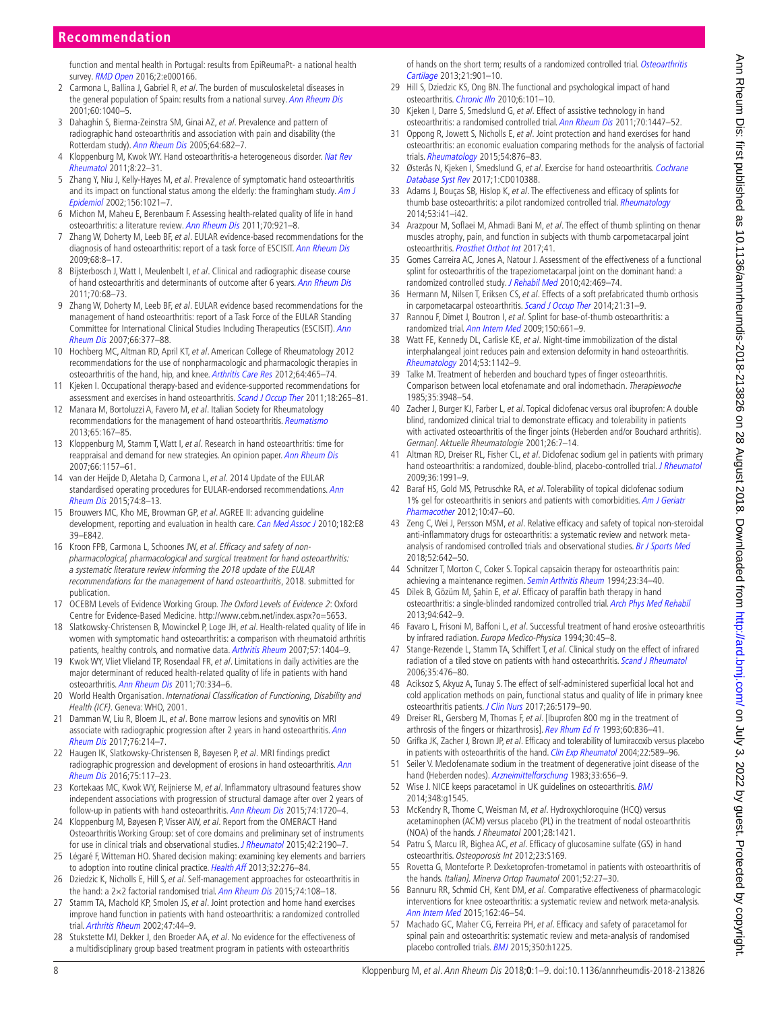# **Recommendation**

function and mental health in Portugal: results from EpiReumaPt- a national health survey. [RMD Open](http://dx.doi.org/10.1136/rmdopen-2015-000166) 2016;2:e000166.

- 2 Carmona L, Ballina J, Gabriel R, et al. The burden of musculoskeletal diseases in the general population of Spain: results from a national survey. [Ann Rheum Dis](http://dx.doi.org/10.1136/ard.60.11.1040) 2001;60:1040–5.
- 3 Dahaghin S, Bierma-Zeinstra SM, Ginai AZ, et al. Prevalence and pattern of radiographic hand osteoarthritis and association with pain and disability (the Rotterdam study). [Ann Rheum Dis](http://dx.doi.org/10.1136/ard.2004.023564) 2005;64:682–7.
- <span id="page-7-0"></span>4 Kloppenburg M, Kwok WY. Hand osteoarthritis-a heterogeneous disorder. Nat Rev [Rheumatol](http://dx.doi.org/10.1038/nrrheum.2011.170) 2011;8:22–31.
- 5 Zhang Y, Niu J, Kelly-Hayes M, et al. Prevalence of symptomatic hand osteoarthritis and its impact on functional status among the elderly: the framingham study. Am J [Epidemiol](http://dx.doi.org/10.1093/aje/kwf141) 2002;156:1021–7.
- <span id="page-7-11"></span>6 Michon M, Maheu E, Berenbaum F. Assessing health-related quality of life in hand osteoarthritis: a literature review. [Ann Rheum Dis](http://dx.doi.org/10.1136/ard.2010.131151) 2011;70:921–8.
- <span id="page-7-1"></span>7 Zhang W, Doherty M, Leeb BF, et al. EULAR evidence-based recommendations for the diagnosis of hand osteoarthritis: report of a task force of ESCISIT. [Ann Rheum Dis](http://dx.doi.org/10.1136/ard.2007.084772) 2009;68:8–17.
- <span id="page-7-2"></span>8 Bijsterbosch J, Watt I, Meulenbelt I, et al. Clinical and radiographic disease course of hand osteoarthritis and determinants of outcome after 6 years. [Ann Rheum Dis](http://dx.doi.org/10.1136/ard.2010.133017) 2011;70:68–73.
- <span id="page-7-3"></span>9 Zhang W, Doherty M, Leeb BF, et al. EULAR evidence based recommendations for the management of hand osteoarthritis: report of a Task Force of the EULAR Standing Committee for International Clinical Studies Including Therapeutics (ESCISIT). [Ann](http://dx.doi.org/10.1136/ard.2006.062091)  [Rheum Dis](http://dx.doi.org/10.1136/ard.2006.062091) 2007;66:377–88.
- <span id="page-7-4"></span>10 Hochberg MC, Altman RD, April KT, et al. American College of Rheumatology 2012 recommendations for the use of nonpharmacologic and pharmacologic therapies in osteoarthritis of the hand, hip, and knee. [Arthritis Care Res](http://dx.doi.org/10.1002/acr.21596) 2012;64:465–74.
- 11 Kjeken I. Occupational therapy-based and evidence-supported recommendations for assessment and exercises in hand osteoarthritis. [Scand J Occup Ther](http://dx.doi.org/10.3109/11038128.2010.514942) 2011;18:265-81.
- 12 Manara M, Bortoluzzi A, Favero M, et al. Italian Society for Rheumatology recommendations for the management of hand osteoarthritis. [Reumatismo](http://dx.doi.org/10.4081/reumatismo.2013.167) 2013;65:167–85.
- <span id="page-7-5"></span>13 Kloppenburg M, Stamm T, Watt I, et al. Research in hand osteoarthritis: time for reappraisal and demand for new strategies. An opinion paper. [Ann Rheum Dis](http://dx.doi.org/10.1136/ard.2007.070813) 2007;66:1157–61.
- <span id="page-7-6"></span>14 van der Heijde D, Aletaha D, Carmona L, et al. 2014 Update of the EULAR standardised operating procedures for EULAR-endorsed recommendations. Ann [Rheum Dis](http://dx.doi.org/10.1136/annrheumdis-2014-206350) 2015;74:8–13.
- <span id="page-7-7"></span>15 Brouwers MC, Kho ME, Browman GP, et al. AGREE II: advancing guideline development, reporting and evaluation in health care. [Can Med Assoc J](http://dx.doi.org/10.1503/cmaj.090449) 2010;182:E8 39–E842.
- <span id="page-7-8"></span>16 Kroon FPB, Carmona L, Schoones JW, et al. Efficacy and safety of nonpharmacological, pharmacological and surgical treatment for hand osteoarthritis: a systematic literature review informing the 2018 update of the EULAR recommendations for the management of hand osteoarthritis, 2018. submitted for publication.
- <span id="page-7-9"></span>17 OCEBM Levels of Evidence Working Group. The Oxford Levels of Evidence 2: Oxford Centre for Evidence-Based Medicine. [http://www.cebm.net/index.aspx?o=5653.](http://www.cebm.net/index.aspx?o=5653)
- <span id="page-7-10"></span>Slatkowsky-Christensen B, Mowinckel P, Loge JH, et al. Health-related quality of life in women with symptomatic hand osteoarthritis: a comparison with rheumatoid arthritis patients, healthy controls, and normative data. [Arthritis Rheum](http://dx.doi.org/10.1002/art.23079) 2007;57:1404-9.
- 19 Kwok WY, Vliet Vlieland TP, Rosendaal FR, et al. Limitations in daily activities are the major determinant of reduced health-related quality of life in patients with hand osteoarthritis. [Ann Rheum Dis](http://dx.doi.org/10.1136/ard.2010.133603) 2011;70:334–6.
- <span id="page-7-12"></span>20 World Health Organisation. International Classification of Functioning, Disability and Health (ICF). Geneva: WHO, 2001.
- <span id="page-7-13"></span>21 Damman W, Liu R, Bloem JL, et al. Bone marrow lesions and synovitis on MRI associate with radiographic progression after 2 years in hand osteoarthritis. Ann [Rheum Dis](http://dx.doi.org/10.1136/annrheumdis-2015-209036) 2017;76:214–7.
- 22 Haugen IK, Slatkowsky-Christensen B, Bøyesen P, et al. MRI findings predict radiographic progression and development of erosions in hand osteoarthritis. Ann [Rheum Dis](http://dx.doi.org/10.1136/annrheumdis-2014-205949) 2016;75:117–23.
- Kortekaas MC, Kwok WY, Reijnierse M, et al. Inflammatory ultrasound features show independent associations with progression of structural damage after over 2 years of follow-up in patients with hand osteoarthritis. [Ann Rheum Dis](http://dx.doi.org/10.1136/annrheumdis-2013-205003) 2015;74:1720-4.
- <span id="page-7-14"></span>24 Kloppenburg M, Bøyesen P, Visser AW, et al. Report from the OMERACT Hand Osteoarthritis Working Group: set of core domains and preliminary set of instruments for use in clinical trials and observational studies. [J Rheumatol](http://dx.doi.org/10.3899/jrheum.141017) 2015;42:2190-7.
- <span id="page-7-15"></span>25 Légaré F, Witteman HO. Shared decision making: examining key elements and barriers to adoption into routine clinical practice. [Health Aff](http://dx.doi.org/10.1377/hlthaff.2012.1078) 2013;32:276-84.
- <span id="page-7-16"></span>26 Dziedzic K, Nicholls E, Hill S, et al. Self-management approaches for osteoarthritis in the hand: a  $2\times2$  factorial randomised trial. [Ann Rheum Dis](http://dx.doi.org/10.1136/annrheumdis-2013-203938) 2015;74:108-18.
- 27 Stamm TA, Machold KP, Smolen JS, et al. Joint protection and home hand exercises improve hand function in patients with hand osteoarthritis: a randomized controlled trial. [Arthritis Rheum](http://dx.doi.org/10.1002/art1.10246) 2002;47:44–9.
- 28 Stukstette MJ, Dekker J, den Broeder AA, et al. No evidence for the effectiveness of a multidisciplinary group based treatment program in patients with osteoarthritis

of hands on the short term; results of a randomized controlled trial. Osteoarthritis [Cartilage](http://dx.doi.org/10.1016/j.joca.2013.03.016) 2013;21:901–10.

- <span id="page-7-17"></span>29 Hill S, Dziedzic KS, Ong BN. The functional and psychological impact of hand osteoarthritis. [Chronic Illn](http://dx.doi.org/10.1177/1742395309345614) 2010;6:101–10.
- 30 Kieken I, Darre S, Smedslund G, et al. Effect of assistive technology in hand osteoarthritis: a randomised controlled trial. [Ann Rheum Dis](http://dx.doi.org/10.1136/ard.2010.148668) 2011;70:1447–52.
- <span id="page-7-18"></span>31 Oppong R, Jowett S, Nicholls E, et al. Joint protection and hand exercises for hand osteoarthritis: an economic evaluation comparing methods for the analysis of factorial trials. [Rheumatology](http://dx.doi.org/10.1093/rheumatology/keu389) 2015;54:876-83.
- <span id="page-7-19"></span>32 Østerås N, Kieken I, Smedslund G, et al. Exercise for hand osteoarthritis. Cochrane [Database Syst Rev](http://dx.doi.org/10.1002/14651858.CD010388.pub2) 2017;1:CD010388.
- <span id="page-7-20"></span>33 Adams J, Bouças SB, Hislop K, et al. The effectiveness and efficacy of splints for thumb base osteoarthritis: a pilot randomized controlled trial. [Rheumatology](http://dx.doi.org/10.1093/rheumatology/keu090.005) 2014;53:i41–i42.
- 34 Arazpour M, Soflaei M, Ahmadi Bani M, et al. The effect of thumb splinting on thenar muscles atrophy, pain, and function in subjects with thumb carpometacarpal joint osteoarthritis. [Prosthet Orthot Int](http://dx.doi.org/10.1177/0309364616664149) 2017;41.
- <span id="page-7-21"></span>35 Gomes Carreira AC, Jones A, Natour J. Assessment of the effectiveness of a functional splint for osteoarthritis of the trapeziometacarpal joint on the dominant hand: a randomized controlled study. [J Rehabil Med](http://dx.doi.org/10.2340/16501977-0542) 2010;42:469–74.
- 36 Hermann M, Nilsen T, Eriksen CS, et al. Effects of a soft prefabricated thumb orthosis in carpometacarpal osteoarthritis. [Scand J Occup Ther](http://dx.doi.org/10.3109/11038128.2013.851735) 2014;21:31-9.
- <span id="page-7-22"></span>37 Rannou F, Dimet J, Boutron I, et al. Splint for base-of-thumb osteoarthritis: a randomized trial. [Ann Intern Med](http://www.ncbi.nlm.nih.gov/pubmed/19451573) 2009;150:661–9.
- <span id="page-7-23"></span>38 Watt FE, Kennedy DL, Carlisle KE, et al. Night-time immobilization of the distal interphalangeal joint reduces pain and extension deformity in hand osteoarthritis. [Rheumatology](http://dx.doi.org/10.1093/rheumatology/ket455) 2014;53:1142–9.
- <span id="page-7-24"></span>39 Talke M. Treatment of heberden and bouchard types of finger osteoarthritis. Comparison between local etofenamate and oral indomethacin. Therapiewoche 1985;35:3948–54.
- 40 Zacher J, Burger KJ, Farber L, et al. Topical diclofenac versus oral ibuprofen: A double blind, randomized clinical trial to demonstrate efficacy and tolerability in patients with activated osteoarthritis of the finger joints (Heberden and/or Bouchard arthritis). German]. Aktuelle Rheumatologie 2001;26:7–14.
- <span id="page-7-25"></span>41 Altman RD, Dreiser RL, Fisher CL, et al. Diclofenac sodium gel in patients with primary hand osteoarthritis: a randomized, double-blind, placebo-controlled trial. [J Rheumatol](http://dx.doi.org/10.3899/jrheum.081316) 2009;36:1991–9.
- <span id="page-7-26"></span>42 Baraf HS, Gold MS, Petruschke RA, et al. Tolerability of topical diclofenac sodium 1% gel for osteoarthritis in seniors and patients with comorbidities. Am J Geriatr [Pharmacother](http://dx.doi.org/10.1016/j.amjopharm.2011.12.002) 2012;10:47–60.
- <span id="page-7-27"></span>43 Zeng C, Wei J, Persson MSM, et al. Relative efficacy and safety of topical non-steroidal anti-inflammatory drugs for osteoarthritis: a systematic review and network meta-analysis of randomised controlled trials and observational studies. [Br J Sports Med](http://dx.doi.org/10.1136/bjsports-2017-098043) 2018;52:642–50.
- <span id="page-7-28"></span>44 Schnitzer T, Morton C, Coker S. Topical capsaicin therapy for osteoarthritis pain: achieving a maintenance regimen. [Semin Arthritis Rheum](http://dx.doi.org/10.1016/S0049-0172(10)80024-1) 1994;23:34-40.
- <span id="page-7-29"></span>45 Dilek B, Gözüm M, Şahin E, et al. Efficacy of paraffin bath therapy in hand osteoarthritis: a single-blinded randomized controlled trial. [Arch Phys Med Rehabil](http://dx.doi.org/10.1016/j.apmr.2012.11.024) 2013;94:642–9.
- 46 Favaro L, Frisoni M, Baffoni L, et al. Successful treatment of hand erosive osteoarthritis by infrared radiation. Europa Medico-Physica 1994;30:45–8.
- 47 Stange-Rezende L, Stamm TA, Schiffert T, et al. Clinical study on the effect of infrared radiation of a tiled stove on patients with hand osteoarthritis. [Scand J Rheumatol](http://dx.doi.org/10.1080/03009740600906719) 2006;35:476–80.
- <span id="page-7-30"></span>48 Aciksoz S, Akyuz A, Tunay S. The effect of self-administered superficial local hot and cold application methods on pain, functional status and quality of life in primary knee osteoarthritis patients. [J Clin Nurs](http://dx.doi.org/10.1111/jocn.14070) 2017;26:5179-90.
- <span id="page-7-31"></span>49 Dreiser RL, Gersberg M, Thomas F, et al. [Ibuprofen 800 mg in the treatment of arthrosis of the fingers or rhizarthrosis]. [Rev Rhum Ed Fr](http://www.ncbi.nlm.nih.gov/pubmed/8054933) 1993;60:836-41.
- 50 Grifka JK, Zacher J, Brown JP, et al. Efficacy and tolerability of lumiracoxib versus placebo in patients with osteoarthritis of the hand. [Clin Exp Rheumatol](http://www.ncbi.nlm.nih.gov/pubmed/15485012) 2004;22:589-96.
- 51 Seiler V. Meclofenamate sodium in the treatment of degenerative joint disease of the hand (Heberden nodes). [Arzneimittelforschung](http://www.ncbi.nlm.nih.gov/pubmed/6349652) 1983;33:656-9.
- <span id="page-7-32"></span>52 Wise J. NICE keeps paracetamol in UK guidelines on osteoarthritis. [BMJ](http://dx.doi.org/10.1136/bmj.g1545) 2014;348:g1545.
- <span id="page-7-33"></span>53 McKendry R, Thome C, Weisman M, et al. Hydroxychloroquine (HCQ) versus acetaminophen (ACM) versus placebo (PL) in the treatment of nodal osteoarthritis (NOA) of the hands. J Rheumatol 2001;28:1421.
- 54 Patru S, Marcu IR, Bighea AC, et al. Efficacy of glucosamine sulfate (GS) in hand osteoarthritis. Osteoporosis Int 2012;23:S169.
- 55 Rovetta G, Monteforte P. Dexketoprofen-trometamol in patients with osteoarthritis of the hands. Italian]. Minerva Ortop Traumatol 2001;52:27–30.
- <span id="page-7-34"></span>56 Bannuru RR, Schmid CH, Kent DM, et al. Comparative effectiveness of pharmacologic interventions for knee osteoarthritis: a systematic review and network meta-analysis. [Ann Intern Med](http://dx.doi.org/10.7326/M14-1231) 2015;162:46–54.
- <span id="page-7-35"></span>57 Machado GC, Maher CG, Ferreira PH, et al. Efficacy and safety of paracetamol for spinal pain and osteoarthritis: systematic review and meta-analysis of randomised placebo controlled trials. [BMJ](http://dx.doi.org/10.1136/bmj.h1225) 2015;350:h1225.